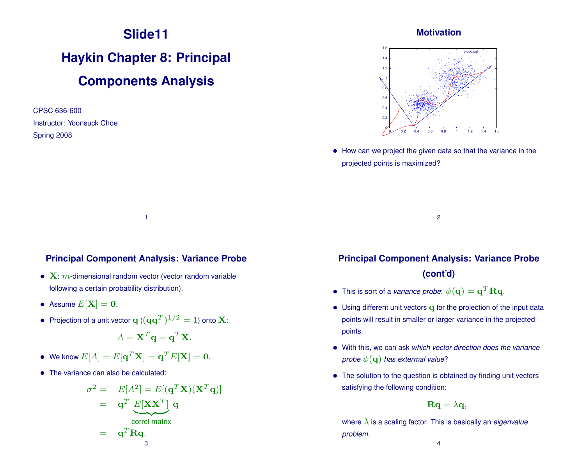# **Slide11 Haykin Chapter 8: Principal Components Analysis**

CPSC 636-600 Instructor: Yoonsuck Choe Spring 2008

# **Motivation**



• How can we project the given data so that the variance in the projected points is maximized?

**Principal Component Analysis: Variance Probe**

1

- $X: m$ -dimensional random vector (vector random variable following a certain probability distribution).
- Assume  $E[\mathbf{X}] = 0$ .
- $\bullet~$  Projection of a unit vector  ${\bf q}$  ( $({\bf q}\mathbf{q}^T)^{1/2}=1$ ) onto  $\mathbf X$ :

$$
A = \mathbf{X}^T \mathbf{q} = \mathbf{q}^T \mathbf{X}.
$$

- $\bullet \ \ \textsf{We know} \ E[A] = E[\mathbf{q}^T\mathbf{X}] = \mathbf{q}^T E[\mathbf{X}] = \mathbf{0}.$
- The variance can also be calculated:

$$
\sigma^{2} = E[A^{2}] = E[(\mathbf{q}^{T}\mathbf{X})(\mathbf{X}^{T}\mathbf{q})]
$$

$$
= \mathbf{q}^{T} E[\mathbf{X}\mathbf{X}^{T}] \mathbf{q}
$$

$$
= \mathbf{q}^{T}\mathbf{R}\mathbf{q}.
$$

# **Principal Component Analysis: Variance Probe (cont'd)**

2

- $\bullet~$  This is sort of a *variance probe*:  $\psi(\textbf{q}) = \textbf{q}^T\textbf{R}\textbf{q}$ .
- Using different unit vectors q for the projection of the input data points will result in smaller or larger variance in the projected points.
- With this, we can ask *which vector direction does the variance probe*  $\psi(\mathbf{q})$  *has extermal value*?
- The solution to the question is obtained by finding unit vectors satisfying the following condition:

 $\mathbf{Rq} = \lambda \mathbf{q}$ ,

where λ is a scaling factor. This is basically an *eigenvalue problem*.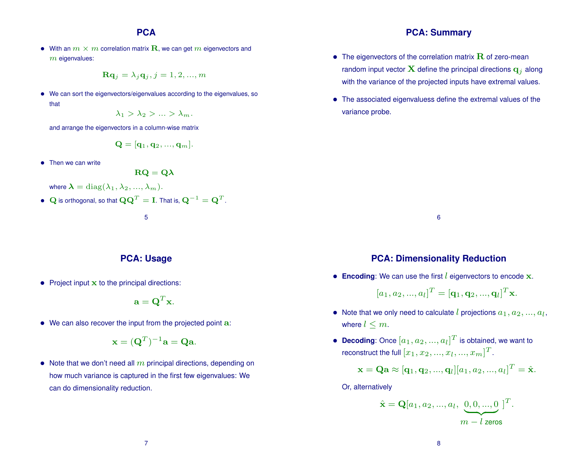# **PCA**

• With an  $m \times m$  correlation matrix  $\mathbf R$ , we can get  $m$  eigenvectors and  $m$  eigenvalues:

$$
\mathbf{Rq}_j = \lambda_j \mathbf{q}_j, j = 1, 2, ..., m
$$

• We can sort the eigenvectors/eigenvalues according to the eigenvalues, so that

$$
\lambda_1 > \lambda_2 > \ldots > \lambda_m.
$$

and arrange the eigenvectors in a column-wise matrix

$$
\mathbf{Q} = [\mathbf{q}_1, \mathbf{q}_2, ..., \mathbf{q}_m].
$$

• Then we can write

$$
\mathbf{RQ} = \mathbf{Q}\boldsymbol{\lambda}
$$

where  $\lambda = \text{diag}(\lambda_1, \lambda_2, ..., \lambda_m)$ .

 $\bullet \ \ \mathbf Q$  is orthogonal, so that  $\mathbf Q \mathbf Q^T = \mathbf I.$  That is,  $\mathbf Q^{-1} = \mathbf Q^T.$ 

5

#### **PCA: Usage**

• Project input x to the principal directions:

$$
\mathbf{a} = \mathbf{Q}^T \mathbf{x}.
$$

• We can also recover the input from the projected point a:

$$
\mathbf{x} = (\mathbf{Q}^T)^{-1}\mathbf{a} = \mathbf{Q}\mathbf{a}.
$$

• Note that we don't need all  $m$  principal directions, depending on how much variance is captured in the first few eigenvalues: We can do dimensionality reduction.

# **PCA: Summary**

- The eigenvectors of the correlation matrix  $\mathbf R$  of zero-mean random input vector **X** define the principal directions  $q_i$  along with the variance of the projected inputs have extremal values.
- The associated eigenvaluess define the extremal values of the variance probe.

6

# **PCA: Dimensionality Reduction**

**• Encoding:** We can use the first  $l$  eigenvectors to encode  $x$ .

$$
[a_1, a_2, ..., a_l]^T = [\mathbf{q}_1, \mathbf{q}_2, ..., \mathbf{q}_l]^T \mathbf{x}.
$$

- Note that we only need to calculate  $l$  projections  $a_1, a_2, ..., a_l$ , where  $l \leq m$ .
- $\bullet$  **Decoding**: Once  $[a_1, a_2, ..., a_l]^T$  is obtained, we want to reconstruct the full  $[x_1, x_2, ..., x_l, ..., x_m]^T$ .

$$
\mathbf{x} = \mathbf{Q}\mathbf{a} \approx [\mathbf{q}_1, \mathbf{q}_2, ..., \mathbf{q}_l][a_1, a_2, ..., a_l]^T = \hat{\mathbf{x}}.
$$

Or, alternatively

$$
\hat{\mathbf{x}} = \mathbf{Q}[a_1, a_2, ..., a_l, \underbrace{0, 0, ..., 0}_{m-l \text{ zeros}}]^T.
$$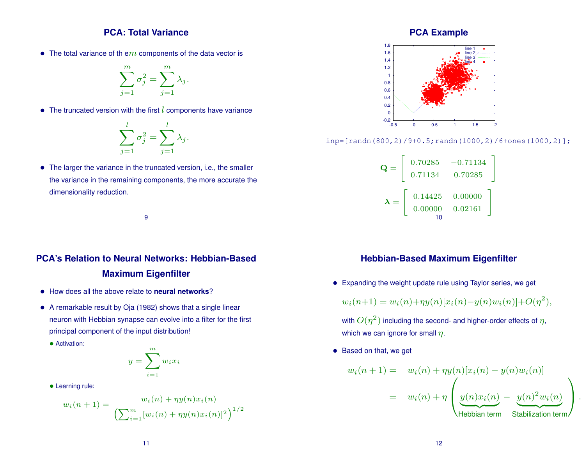# **PCA: Total Variance**

• The total variance of the  $m$  components of the data vector is

$$
\sum_{j=1}^{m} \sigma_j^2 = \sum_{j=1}^{m} \lambda_j.
$$

• The truncated version with the first  $l$  components have variance

$$
\sum_{j=1}^{l} \sigma_j^2 = \sum_{j=1}^{l} \lambda_j.
$$

• The larger the variance in the truncated version, i.e., the smaller the variance in the remaining components, the more accurate the dimensionality reduction.

9

# **PCA's Relation to Neural Networks: Hebbian-Based Maximum Eigenfilter**

- How does all the above relate to **neural networks**?
- A remarkable result by Oja (1982) shows that a single linear neuron with Hebbian synapse can evolve into a filter for the first principal component of the input distribution!
	- Activation:

$$
y = \sum_{i=1}^{m} w_i x_i
$$

• Learning rule:

$$
w_i(n+1) = \frac{w_i(n) + \eta y(n)x_i(n)}{\left(\sum_{i=1}^m [w_i(n) + \eta y(n)x_i(n)]^2\right)^{1/2}}
$$

# **PCA Example**



inp=[randn(800,2)/9+0.5;randn(1000,2)/6+ones(1000,2)];

$$
\mathbf{Q} = \begin{bmatrix} 0.70285 & -0.71134 \\ 0.71134 & 0.70285 \end{bmatrix}
$$

$$
\mathbf{\lambda} = \begin{bmatrix} 0.14425 & 0.00000 \\ 0.00000 & 0.02161 \end{bmatrix}
$$

# **Hebbian-Based Maximum Eigenfilter**

• Expanding the weight update rule using Taylor series, we get

 $w_i(n+1) = w_i(n) + \eta y(n)[x_i(n) - y(n)w_i(n)] + O(\eta^2),$ 

with  $O(\eta^2)$  including the second- and higher-order effects of  $\eta,$ which we can ignore for small  $\eta$ .

• Based on that, we get

$$
w_i(n+1) = w_i(n) + \eta y(n)[x_i(n) - y(n)w_i(n)]
$$
  
= 
$$
w_i(n) + \eta \left( \underbrace{y(n)x_i(n)}_{\text{Hebbian term}} - \underbrace{y(n)^2 w_i(n)}_{\text{Stabilization term}} \right).
$$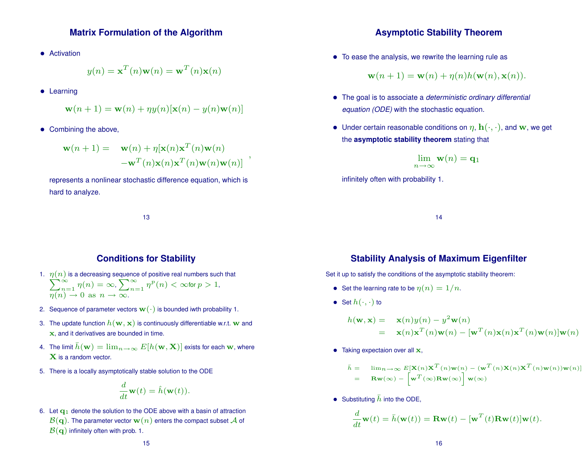### **Matrix Formulation of the Algorithm**

• Activation

$$
y(n) = \mathbf{x}^{T}(n)\mathbf{w}(n) = \mathbf{w}^{T}(n)\mathbf{x}(n)
$$

• Learning

$$
\mathbf{w}(n+1) = \mathbf{w}(n) + \eta y(n)[\mathbf{x}(n) - y(n)\mathbf{w}(n)]
$$

• Combining the above,

$$
\mathbf{w}(n+1) = \mathbf{w}(n) + \eta[\mathbf{x}(n)\mathbf{x}^T(n)\mathbf{w}(n) -\mathbf{w}^T(n)\mathbf{x}(n)\mathbf{x}^T(n)\mathbf{w}(n)\mathbf{w}(n)]
$$

,

represents a nonlinear stochastic difference equation, which is hard to analyze.

13

# **Conditions for Stability**

- 1.  $\eta(n)$  is a decreasing sequence of positive real numbers such that  $\sum_{n=1}^{\infty}$  $\sum_{n=1}^{\infty}\eta(n)=\infty, \sum_{n=1}^{\infty}\eta^{p}(n)<\infty$ for  $p>1,$  $\eta(n) \to 0$  as  $n \to \infty$ .
- 2. Sequence of parameter vectors  $\mathbf{w}(\cdot)$  is bounded iwth probability 1.
- 3. The update function  $h(\mathbf{w}, \mathbf{x})$  is continuously differentiable w.r.t. w and x, and it derivatives are bounded in time.
- 4. The limit  $\bar{h}(\mathbf{w}) = \lim_{n \to \infty} E[h(\mathbf{w}, \mathbf{X})]$  exists for each w, where  $\bf{X}$  is a random vector.
- 5. There is a locally asymptotically stable solution to the ODE

$$
\frac{d}{dt}\mathbf{w}(t) = \hat{h}(\mathbf{w}(t)).
$$

6. Let  $q_1$  denote the solution to the ODE above with a basin of attraction  $\mathcal{B}(\mathbf{q})$ . The parameter vector  $\mathbf{w}(n)$  enters the compact subset A of  $\mathcal{B}(\mathbf{q})$  infinitely often with prob. 1.

# **Asymptotic Stability Theorem**

• To ease the analysis, we rewrite the learning rule as

 $\mathbf{w}(n+1) = \mathbf{w}(n) + \eta(n)h(\mathbf{w}(n), \mathbf{x}(n)).$ 

- The goal is to associate a *deterministic ordinary differential equation (ODE)* with the stochastic equation.
- Under certain reasonable conditions on  $\eta$ ,  $h(\cdot, \cdot)$ , and w, we get the **asymptotic stability theorem** stating that

$$
\lim_{n\to\infty}\mathbf{w}(n)=\mathbf{q}_1
$$

infinitely often with probability 1.

14

#### **Stability Analysis of Maximum Eigenfilter**

Set it up to satisfy the conditions of the asymptotic stability theorem:

- Set the learning rate to be  $\eta(n) = 1/n$ .
- Set  $h(\cdot, \cdot)$  to

$$
h(\mathbf{w}, \mathbf{x}) = \mathbf{x}(n)y(n) - y^2 \mathbf{w}(n)
$$
  
=  $\mathbf{x}(n)\mathbf{x}^T(n)\mathbf{w}(n) - [\mathbf{w}^T(n)\mathbf{x}(n)\mathbf{x}^T(n)\mathbf{w}(n)]\mathbf{w}(n)$ 

• Taking expectaion over all  $\mathbf{x}$ ,

$$
\bar{h} = \lim_{n \to \infty} E[\mathbf{X}(n)\mathbf{X}^T(n)\mathbf{w}(n) - (\mathbf{w}^T(n)\mathbf{X}(n)\mathbf{X}^T(n)\mathbf{w}(n))\mathbf{w}(n)]
$$
  
=  $\mathbf{R}\mathbf{w}(\infty) - \begin{bmatrix} \mathbf{w}^T(\infty)\mathbf{R}\mathbf{w}(\infty) \end{bmatrix} \mathbf{w}(\infty)$ 

• Substituting  $\bar{h}$  into the ODE,

$$
\frac{d}{dt}\mathbf{w}(t) = \bar{h}(\mathbf{w}(t)) = \mathbf{R}\mathbf{w}(t) - [\mathbf{w}^T(t)\mathbf{R}\mathbf{w}(t)]\mathbf{w}(t).
$$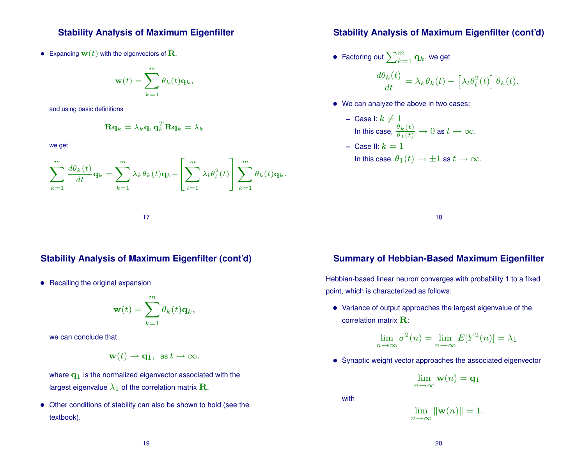### **Stability Analysis of Maximum Eigenfilter**

• Expanding  $\mathbf{w}(t)$  with the eigenvectors of  $\mathbf{R}$ ,

$$
\mathbf{w}(t) = \sum_{k=1}^{m} \theta_k(t) \mathbf{q}_k,
$$

and using basic definitions

$$
\mathbf{R}\mathbf{q}_k = \lambda_k \mathbf{q}, \mathbf{q}_k^T \mathbf{R} \mathbf{q}_k = \lambda_k
$$

we get

$$
\sum_{k=1}^m \frac{d\theta_k(t)}{dt} \mathbf{q}_k = \sum_{k=1}^m \lambda_k \theta_k(t) \mathbf{q}_k - \left[ \sum_{l=1}^m \lambda_l \theta_l^2(t) \right] \sum_{k=1}^m \theta_k(t) \mathbf{q}_k.
$$

#### **Stability Analysis of Maximum Eigenfilter (cont'd)**

- $\bullet~$  Factoring out  $\sum_{k=1}^m {\mathbf{q}}_k$  , we get  $d\theta_k(t)$  $\frac{d}{dt} = \lambda_k \theta_k(t) - \left[ \lambda_l \theta_l^2 \right]$  $\left[\begin{matrix} 2(t) \end{matrix}\right]\theta_k(t).$
- We can analyze the above in two cases:
	- **–** Case I:  $k \neq 1$ In this case,  $\frac{\theta_k(t)}{\theta_1(t)} \to 0$  as  $t \to \infty$ .

$$
- \text{ Case II: } k = 1
$$
  
In this case,  $\theta_1(t) \to \pm 1$  as  $t \to \infty$ .

18

### **Stability Analysis of Maximum Eigenfilter (cont'd)**

17

• Recalling the original expansion

$$
\mathbf{w}(t) = \sum_{k=1}^{m} \theta_k(t) \mathbf{q}_k,
$$

we can conclude that

$$
\mathbf{w}(t)\to\mathbf{q}_1,\ \ \hbox{as }t\to\infty.
$$

where  $q_1$  is the normalized eigenvector associated with the largest eigenvalue  $\lambda_1$  of the correlation matrix **R**.

• Other conditions of stability can also be shown to hold (see the textbook).

# **Summary of Hebbian-Based Maximum Eigenfilter**

Hebbian-based linear neuron converges with probability 1 to a fixed point, which is characterized as follows:

• Variance of output approaches the largest eigenvalue of the correlation matrix  $\mathbf{R}$ :

$$
\lim_{n \to \infty} \sigma^2(n) = \lim_{n \to \infty} E[Y^2(n)] = \lambda_1
$$

• Synaptic weight vector approaches the associated eigenvector

$$
\lim_{n\to\infty}\mathbf{w}(n)=\mathbf{q}_1
$$

with

$$
\lim_{n\to\infty} \|\mathbf{w}(n)\| = 1.
$$